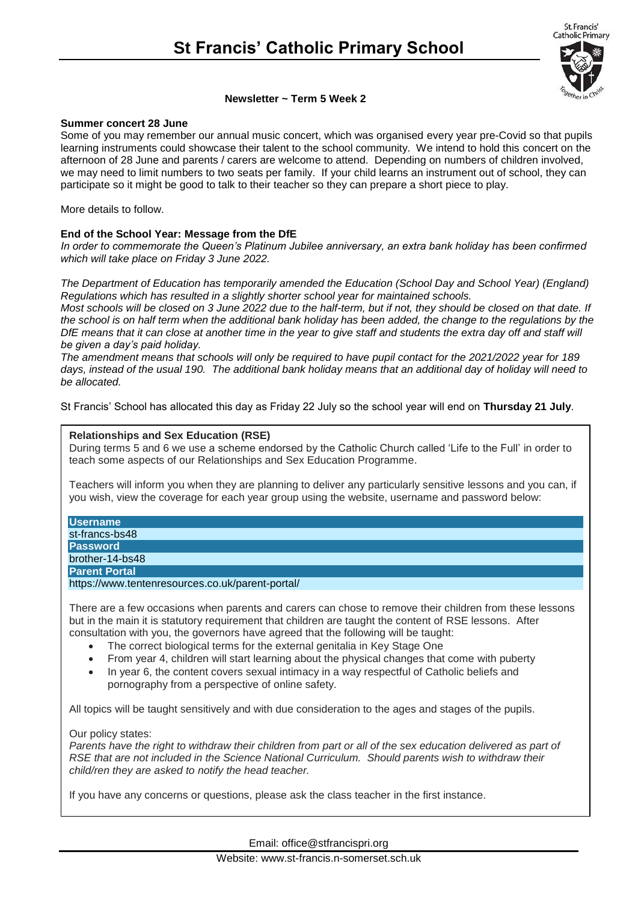St. Francis' Catholic Primary



# **Newsletter ~ Term 5 Week 2**

### **Summer concert 28 June**

Some of you may remember our annual music concert, which was organised every year pre-Covid so that pupils learning instruments could showcase their talent to the school community. We intend to hold this concert on the afternoon of 28 June and parents / carers are welcome to attend. Depending on numbers of children involved, we may need to limit numbers to two seats per family. If your child learns an instrument out of school, they can participate so it might be good to talk to their teacher so they can prepare a short piece to play.

More details to follow.

# **End of the School Year: Message from the DfE**

*In order to commemorate the Queen's Platinum Jubilee anniversary, an extra bank holiday has been confirmed which will take place on Friday 3 June 2022.*

*The Department of Education has temporarily amended the Education (School Day and School Year) (England) Regulations which has resulted in a slightly shorter school year for maintained schools.*

*Most schools will be closed on 3 June 2022 due to the half-term, but if not, they should be closed on that date. If*  the school is on half term when the additional bank holiday has been added, the change to the regulations by the *DfE means that it can close at another time in the year to give staff and students the extra day off and staff will be given a day's paid holiday.*

*The amendment means that schools will only be required to have pupil contact for the 2021/2022 year for 189 days, instead of the usual 190. The additional bank holiday means that an additional day of holiday will need to be allocated.*

St Francis' School has allocated this day as Friday 22 July so the school year will end on **Thursday 21 July**.

### **Relationships and Sex Education (RSE)**

During terms 5 and 6 we use a scheme endorsed by the Catholic Church called 'Life to the Full' in order to teach some aspects of our Relationships and Sex Education Programme.

Teachers will inform you when they are planning to deliver any particularly sensitive lessons and you can, if you wish, view the coverage for each year group using the website, username and password below:

#### **Username**

st-francs-bs48 **Password** brother-14-bs48

### **Parent Portal**

https://www.tentenresources.co.uk/parent-portal/

There are a few occasions when parents and carers can chose to remove their children from these lessons but in the main it is statutory requirement that children are taught the content of RSE lessons. After consultation with you, the governors have agreed that the following will be taught:

- The correct biological terms for the external genitalia in Key Stage One
- From year 4, children will start learning about the physical changes that come with puberty
- In year 6, the content covers sexual intimacy in a way respectful of Catholic beliefs and pornography from a perspective of online safety.

All topics will be taught sensitively and with due consideration to the ages and stages of the pupils.

### Our policy states:

Parents have the right to withdraw their children from part or all of the sex education delivered as part of *RSE that are not included in the Science National Curriculum. Should parents wish to withdraw their child/ren they are asked to notify the head teacher.*

If you have any concerns or questions, please ask the class teacher in the first instance.

Email: office@stfrancispri.org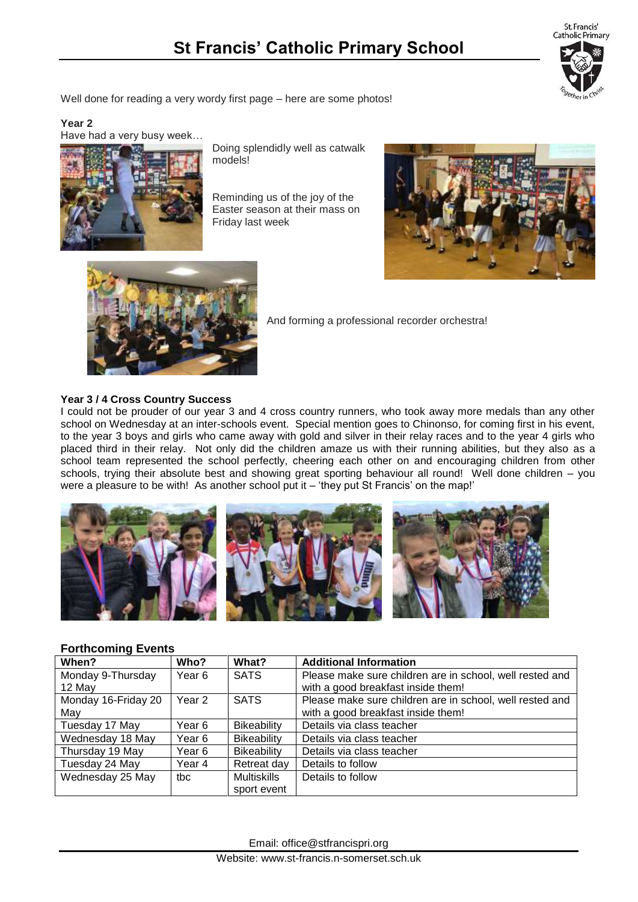St. Francis' **Catholic Primary** 

Well done for reading a very wordy first page – here are some photos!

## **Year 2**

Have had a very busy week…

Doing splendidly well as catwalk models!

Reminding us of the joy of the Easter season at their mass on Friday last week





And forming a professional recorder orchestra!

# **Year 3 / 4 Cross Country Success**

I could not be prouder of our year 3 and 4 cross country runners, who took away more medals than any other school on Wednesday at an inter-schools event. Special mention goes to Chinonso, for coming first in his event, to the year 3 boys and girls who came away with gold and silver in their relay races and to the year 4 girls who placed third in their relay. Not only did the children amaze us with their running abilities, but they also as a school team represented the school perfectly, cheering each other on and encouraging children from other schools, trying their absolute best and showing great sporting behaviour all round! Well done children – you were a pleasure to be with! As another school put it – 'they put St Francis' on the map!'



### **Forthcoming Events**

| When?               | Who?              | What?              | <b>Additional Information</b>                            |
|---------------------|-------------------|--------------------|----------------------------------------------------------|
| Monday 9-Thursday   | Year 6            | <b>SATS</b>        | Please make sure children are in school, well rested and |
| 12 May              |                   |                    | with a good breakfast inside them!                       |
| Monday 16-Friday 20 | Year <sub>2</sub> | <b>SATS</b>        | Please make sure children are in school, well rested and |
| May                 |                   |                    | with a good breakfast inside them!                       |
| Tuesday 17 May      | Year 6            | Bikeability        | Details via class teacher                                |
| Wednesday 18 May    | Year 6            | <b>Bikeability</b> | Details via class teacher                                |
| Thursday 19 May     | Year 6            | <b>Bikeability</b> | Details via class teacher                                |
| Tuesday 24 May      | Year 4            | Retreat day        | Details to follow                                        |
| Wednesday 25 May    | tbc               | <b>Multiskills</b> | Details to follow                                        |
|                     |                   | sport event        |                                                          |

Email: office@stfrancispri.org